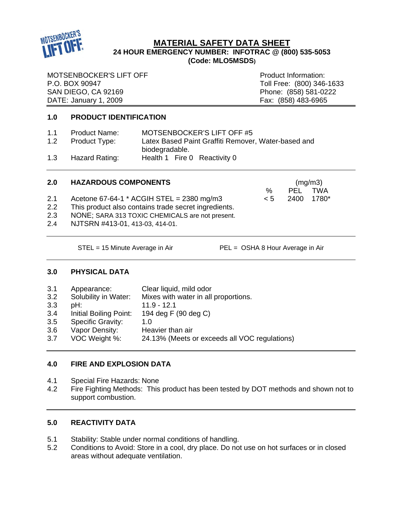

# **MATERIAL SAFETY DATA SHEET 24 HOUR EMERGENCY NUMBER: INFOTRAC @ (800) 535-5053 (Code: MLO5MSDS)**

MOTSENBOCKER'S LIFT OFF **Product Information:** P.O. BOX 90947 Toll Free: (800) 346-1633 SAN DIEGO, CA 92169<br>
DATE: January 1, 2009<br>
DATE: January 1, 2009 DATE: January 1, 2009

## **1.0 PRODUCT IDENTIFICATION**

| 1.1 | <b>Product Name:</b> | MOTSENBOCKER'S LIFT OFF #5                          |
|-----|----------------------|-----------------------------------------------------|
| 1.2 | Product Type:        | Latex Based Paint Graffiti Remover, Water-based and |
|     |                      | biodegradable.                                      |
| 1.3 | Hazard Rating:       | Health 1 Fire 0 Reactivity 0                        |

| 2.0     | <b>HAZARDOUS COMPONENTS</b>                          |          | (mg/m3) |       |  |
|---------|------------------------------------------------------|----------|---------|-------|--|
|         |                                                      | $\%$     | PEL.    | TWA   |  |
| 2.1     | Acetone 67-64-1 $*$ ACGIH STEL = 2380 mg/m3          | $\leq 5$ | 2400    | 1780* |  |
| $2.2\,$ | This product also contains trade secret ingredients. |          |         |       |  |
| 2.3     | NONE; SARA 313 TOXIC CHEMICALS are not present.      |          |         |       |  |
| 2.4     | NJTSRN #413-01, 413-03, 414-01.                      |          |         |       |  |
|         |                                                      |          |         |       |  |

STEL = 15 Minute Average in Air PEL = OSHA 8 Hour Average in Air

## **3.0 PHYSICAL DATA**

| 3.1 | Appearance:              | Clear liquid, mild odor                       |
|-----|--------------------------|-----------------------------------------------|
| 3.2 | Solubility in Water:     | Mixes with water in all proportions.          |
| 3.3 | pH:                      | $11.9 - 12.1$                                 |
| 3.4 | Initial Boiling Point:   | 194 deg F (90 deg C)                          |
| 3.5 | <b>Specific Gravity:</b> | 1.0                                           |
| 3.6 | Vapor Density:           | Heavier than air                              |
| 3.7 | VOC Weight %:            | 24.13% (Meets or exceeds all VOC regulations) |
|     |                          |                                               |

## **4.0 FIRE AND EXPLOSION DATA**

- 4.1 Special Fire Hazards: None
- 4.2 Fire Fighting Methods: This product has been tested by DOT methods and shown not to support combustion.

# **5.0 REACTIVITY DATA**

- 5.1 Stability: Stable under normal conditions of handling.
- 5.2 Conditions to Avoid: Store in a cool, dry place. Do not use on hot surfaces or in closed areas without adequate ventilation.